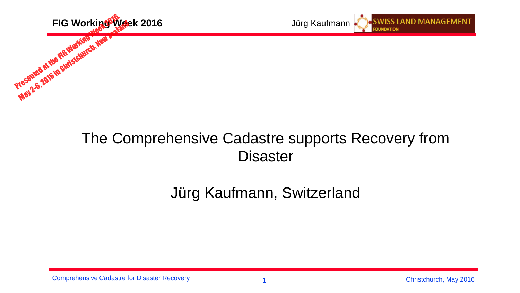

## The Comprehensive Cadastre supports Recovery from **Disaster**

# Jürg Kaufmann, Switzerland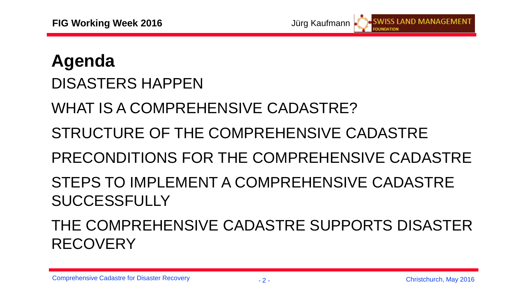

# **Agenda** DISASTERS HAPPEN

WHAT IS A COMPREHENSIVE CADASTRE?

# STRUCTURE OF THE COMPREHENSIVE CADASTRE

PRECONDITIONS FOR THE COMPREHENSIVE CADASTRE

# STEPS TO IMPLEMENT A COMPREHENSIVE CADASTRE SUCCESSFULLY

THE COMPREHENSIVE CADASTRE SUPPORTS DISASTER **RECOVERY**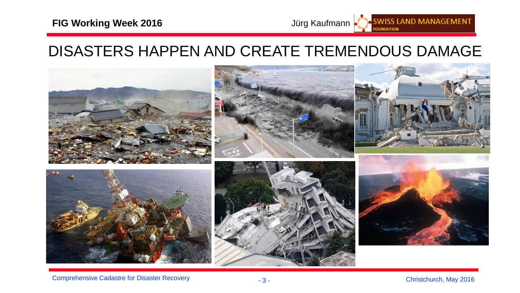#### **FIG Working Week 2016 Jürg Kaufmann**

## DISASTERS HAPPEN AND CREATE TREMENDOUS DAMAGE



**SWISS LAND MANAGEMENT**<br>FOUNDATION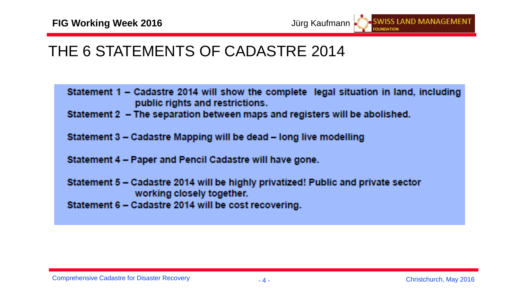## THE 6 STATEMENTS OF CADASTRE 2014

- Statement 1 Cadastre 2014 will show the complete legal situation in land, including public rights and restrictions.
- Statement 2 The separation between maps and registers will be abolished.
- Statement 3 Cadastre Mapping will be dead long live modelling
- Statement 4 Paper and Pencil Cadastre will have gone.
- Statement 5 Cadastre 2014 will be highly privatized! Public and private sector working closely together.
- Statement 6 Cadastre 2014 will be cost recovering.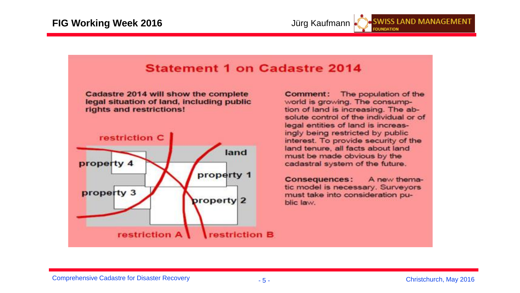

#### **Statement 1 on Cadastre 2014** Cadastre 2014 will show the complete Comment: legal situation of land, including public rights and restrictions!



The population of the world is growing. The consumption of land is increasing. The absolute control of the individual or of legal entities of land is increasingly being restricted by public interest. To provide security of the land tenure, all facts about land must be made obvious by the cadastral system of the future.

A new thema-**Consequences:** tic model is necessary. Surveyors must take into consideration public law.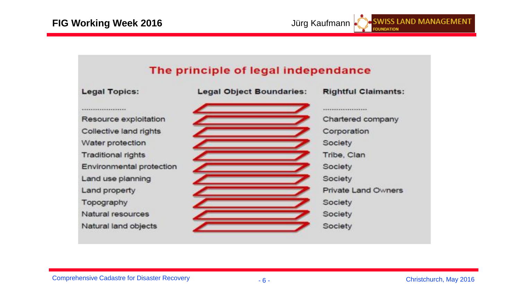

**SWISS LAND MANAGEMENT** 

**OUNDATION**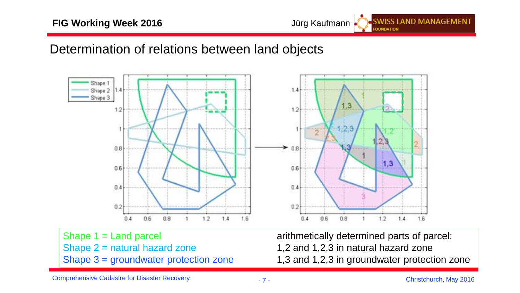#### **FIG Working Week 2016 Jürg Kaufmann**

### Determination of relations between land objects



Shape  $2$  = natural hazard zone  $1,2$  and 1,2,3 in natural hazard zone

Shape 1 = Land parcel 2003 arithmetically determined parts of parcel: Shape  $3 =$  groundwater protection zone  $1,3$  and 1,2,3 in groundwater protection zone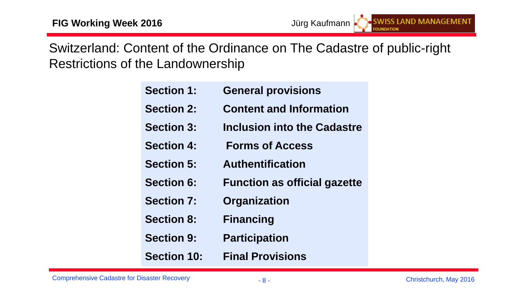Switzerland: Content of the Ordinance on The Cadastre of public-right Restrictions of the Landownership

| <b>Section 1:</b>  | <b>General provisions</b>           |
|--------------------|-------------------------------------|
| <b>Section 2:</b>  | <b>Content and Information</b>      |
| <b>Section 3:</b>  | <b>Inclusion into the Cadastre</b>  |
| <b>Section 4:</b>  | <b>Forms of Access</b>              |
| <b>Section 5:</b>  | <b>Authentification</b>             |
| <b>Section 6:</b>  | <b>Function as official gazette</b> |
| <b>Section 7:</b>  | <b>Organization</b>                 |
| <b>Section 8:</b>  | <b>Financing</b>                    |
| <b>Section 9:</b>  | <b>Participation</b>                |
| <b>Section 10:</b> | <b>Final Provisions</b>             |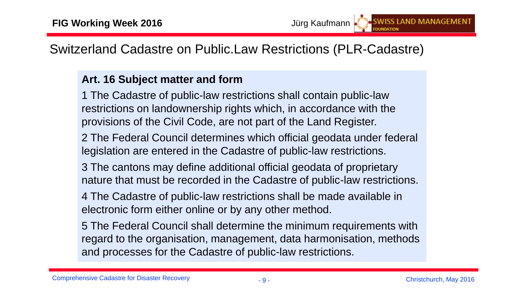Switzerland Cadastre on Public.Law Restrictions (PLR-Cadastre)

#### **Art. 16 Subject matter and form**

1 The Cadastre of public-law restrictions shall contain public-law restrictions on landownership rights which, in accordance with the provisions of the Civil Code, are not part of the Land Register.

2 The Federal Council determines which official geodata under federal legislation are entered in the Cadastre of public-law restrictions.

3 The cantons may define additional official geodata of proprietary nature that must be recorded in the Cadastre of public-law restrictions.

4 The Cadastre of public-law restrictions shall be made available in electronic form either online or by any other method.

5 The Federal Council shall determine the minimum requirements with regard to the organisation, management, data harmonisation, methods and processes for the Cadastre of public-law restrictions.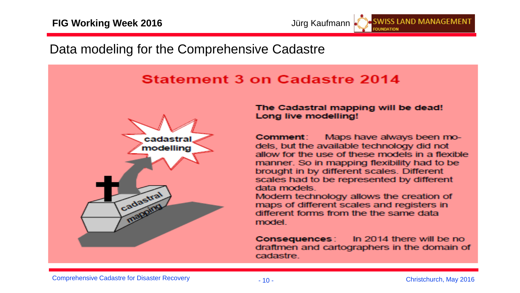## Data modeling for the Comprehensive Cadastre

### Statement 3 on Cadastre 2014



The Cadastral mapping will be dead! Long live modelling!

Comment: Maps have always been models, but the available technology did not allow for the use of these models in a flexible manner. So in mapping flexibility had to be brought in by different scales. Different scales had to be represented by different data models

Modern technology allows the creation of maps of different scales and registers in different forms from the the same data model

In 2014 there will be no **Consequences** draftmen and cartographers in the domain of cadastre.

**SWISS LAND MANAGEMENT**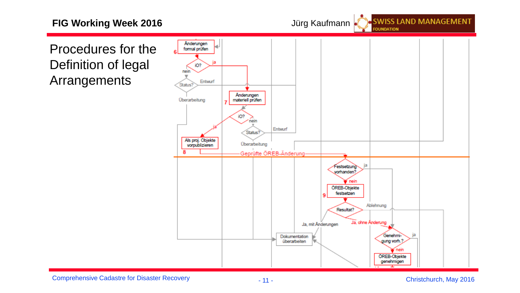#### **FIG Working Week 2016 Jürg Kaufmann**

**SWISS LAND MANAGEMENT FOUNDATION** 

Procedures for the Definition of legal Arrangements



Comprehensive Cadastre for Disaster Recovery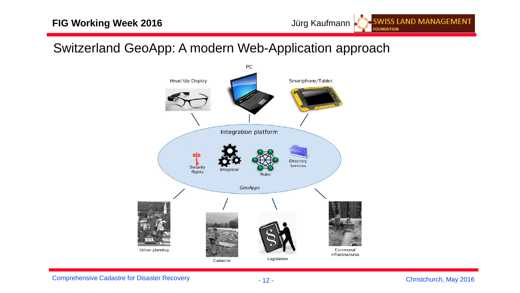## Switzerland GeoApp: A modern Web-Application approach

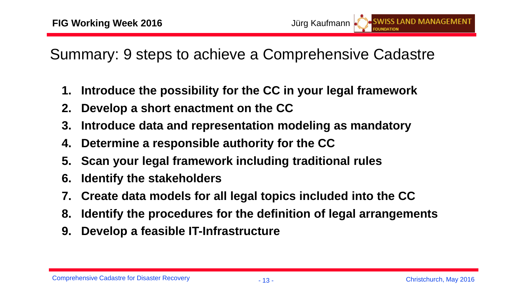Summary: 9 steps to achieve a Comprehensive Cadastre

- **1. Introduce the possibility for the CC in your legal framework**
- **2. Develop a short enactment on the CC**
- **3. Introduce data and representation modeling as mandatory**
- **4. Determine a responsible authority for the CC**
- **5. Scan your legal framework including traditional rules**
- **6. Identify the stakeholders**
- **7. Create data models for all legal topics included into the CC**
- **8. Identify the procedures for the definition of legal arrangements**
- **9. Develop a feasible IT-Infrastructure**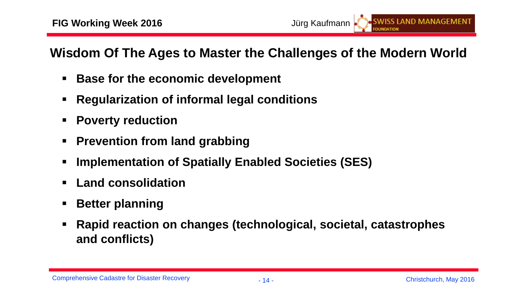**Wisdom Of The Ages to Master the Challenges of the Modern World**

- **Base for the economic development**
- **Regularization of informal legal conditions**
- **Poverty reduction**
- **Prevention from land grabbing**
- **Implementation of Spatially Enabled Societies (SES)**
- **Land consolidation**
- **Better planning**
- **Rapid reaction on changes (technological, societal, catastrophes and conflicts)**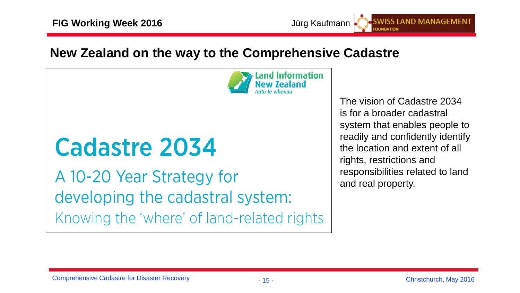## **New Zealand on the way to the Comprehensive Cadastre**



# Cadastre 2034

A 10-20 Year Strategy for developing the cadastral system: Knowing the 'where' of land-related rights

The vision of Cadastre 2034 is for a broader cadastral system that enables people to readily and confidently identify the location and extent of all rights, restrictions and responsibilities related to land and real property.